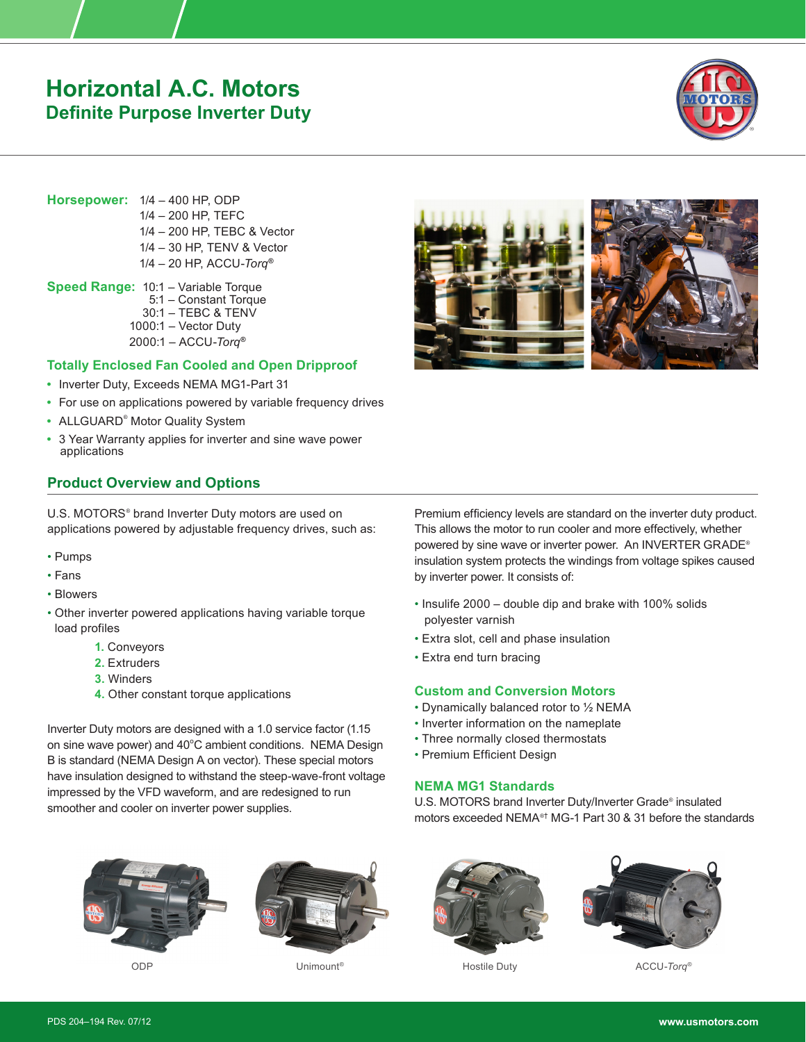# **Horizontal A.C. Motors Definite Purpose Inverter Duty**



**Horsepower:** 1/4 – 400 HP, ODP 1/4 – 200 HP, TEFC 1/4 – 200 HP, TEBC & Vector 1/4 – 30 HP, TENV & Vector 1/4 – 20 HP, ACCU-*Torq***®**

**Speed Range:** 10:1 – Variable Torque 5:1 – Constant Torque 30:1 – TEBC & TENV 1000:1 – Vector Duty 2000:1 – ACCU-*Torq***®**

## **Totally Enclosed Fan Cooled and Open Dripproof**

- **•** Inverter Duty, Exceeds NEMA MG1-Part 31
- **•** For use on applications powered by variable frequency drives
- **•** ALLGUARD® Motor Quality System
- **•** 3 Year Warranty applies for inverter and sine wave power applications

# **Product Overview and Options**

U.S. MOTORS® brand Inverter Duty motors are used on applications powered by adjustable frequency drives, such as:

- Pumps
- Fans
- Blowers
- Other inverter powered applications having variable torque load profiles
	- **1.** Conveyors
	- **2.** Extruders
	- **3.** Winders
	- **4.** Other constant torque applications

Inverter Duty motors are designed with a 1.0 service factor (1.15 on sine wave power) and 40°C ambient conditions. NEMA Design B is standard (NEMA Design A on vector). These special motors have insulation designed to withstand the steep-wave-front voltage impressed by the VFD waveform, and are redesigned to run smoother and cooler on inverter power supplies.







Premium efficiency levels are standard on the inverter duty product. This allows the motor to run cooler and more effectively, whether powered by sine wave or inverter power. An INVERTER GRADE® insulation system protects the windings from voltage spikes caused by inverter power. It consists of:

- Insulife 2000 double dip and brake with 100% solids polyester varnish
- Extra slot, cell and phase insulation
- Extra end turn bracing

### **Custom and Conversion Motors**

- Dynamically balanced rotor to ½ NEMA
- Inverter information on the nameplate
- Three normally closed thermostats
- Premium Efficient Design

### **NEMA MG1 Standards**

U.S. MOTORS brand Inverter Duty/Inverter Grade® insulated motors exceeded NEMA®† MG-1 Part 30 & 31 before the standards



Hostile Duty



ODP Unimount® ACCU-*Torq*®